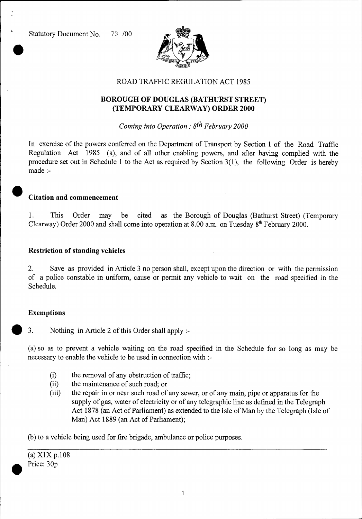

### ROAD TRAFFIC REGULATION ACT 1985

## **BOROUGH OF DOUGLAS (BATHURST STREET) (TEMPORARY CLEARWAY) ORDER 2000**

*Coming into Operation : 8th February 2000* 

In exercise of the powers conferred on the Department of Transport by Section 1 of the Road Traffic Regulation Act 1985 (a), and of all other enabling powers, and after having complied with the procedure set out in Schedule 1 to the Act as required by Section 3(1), the following Order is hereby made :-

#### • **Citation and commencement**

1. This Order may be cited as the Borough of Douglas (Bathurst Street) (Temporary Clearway) Order 2000 and shall come into operation at 8.00 a.m. on Tuesday  $8<sup>th</sup>$  February 2000.

### **Restriction of standing vehicles**

2. Save as provided in Article 3 no person shall, except upon the direction or with the permission of a police constable in uniform, cause or permit any vehicle to wait on the road specified in the Schedule.

#### **Exemptions**

3. Nothing in Article 2 of this Order shall apply :-

(a) so as to prevent a vehicle waiting on the road specified in the Schedule for so long as may be necessary to enable the vehicle to be used in connection with :-

- (i) the removal of any obstruction of traffic;<br>(ii) the maintenance of such road; or
- the maintenance of such road; or
- (iii) the repair in or near such road of any sewer, or of any main, pipe or apparatus for the supply of gas, water of electricity or of any telegraphic line as defined in the Telegraph Act 1878 (an Act of Parliament) as extended to the Isle of Man by the Telegraph (Isle of Man) Act 1889 (an Act of Parliament);

(b) to a vehicle being used for fire brigade, ambulance or police purposes.